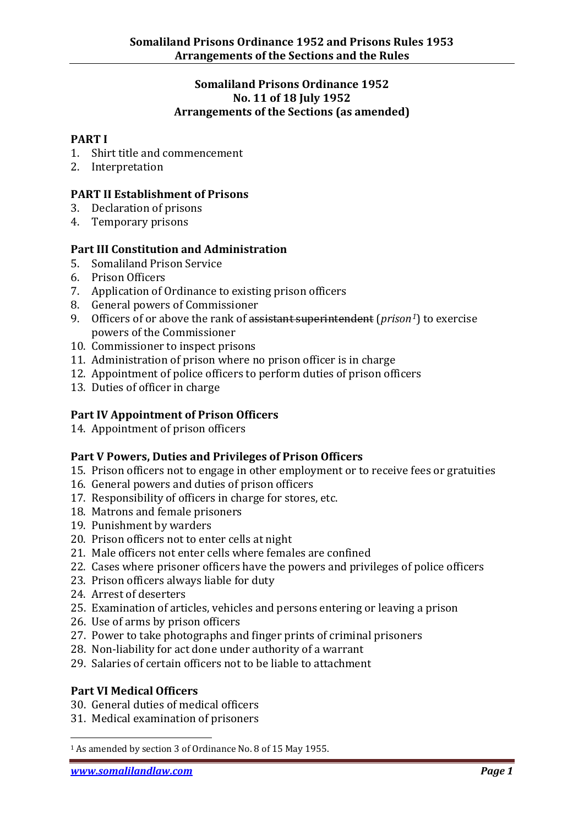#### **Somaliland Prisons Ordinance 1952 No. 11 of 18 July 1952 Arrangements of the Sections (as amended)**

#### **PART I**

- 1. Shirt title and commencement
- 2. Interpretation

#### **PART II Establishment of Prisons**

- 3. Declaration of prisons
- 4. Temporary prisons

#### **Part III Constitution and Administration**

- 5. Somaliland Prison Service
- 6. Prison Officers
- 7. Application of Ordinance to existing prison officers
- 8. General powers of Commissioner
- 9. Officers of or above the rank of assistant superintendent (*prison[1](#page-0-0)*) to exercise powers of the Commissioner
- 10. Commissioner to inspect prisons
- 11. Administration of prison where no prison officer is in charge
- 12. Appointment of police officers to perform duties of prison officers
- 13. Duties of officer in charge

## **Part IV Appointment of Prison Officers**

14. Appointment of prison officers

## **Part V Powers, Duties and Privileges of Prison Officers**

- 15. Prison officers not to engage in other employment or to receive fees or gratuities
- 16. General powers and duties of prison officers
- 17. Responsibility of officers in charge for stores, etc.
- 18. Matrons and female prisoners
- 19. Punishment by warders
- 20. Prison officers not to enter cells at night
- 21. Male officers not enter cells where females are confined
- 22. Cases where prisoner officers have the powers and privileges of police officers
- 23. Prison officers always liable for duty
- 24. Arrest of deserters
- 25. Examination of articles, vehicles and persons entering or leaving a prison
- 26. Use of arms by prison officers
- 27. Power to take photographs and finger prints of criminal prisoners
- 28. Non-liability for act done under authority of a warrant
- 29. Salaries of certain officers not to be liable to attachment

## **Part VI Medical Officers**

- 30. General duties of medical officers
- 31. Medical examination of prisoners

.

<span id="page-0-0"></span><sup>1</sup> As amended by section 3 of Ordinance No. 8 of 15 May 1955.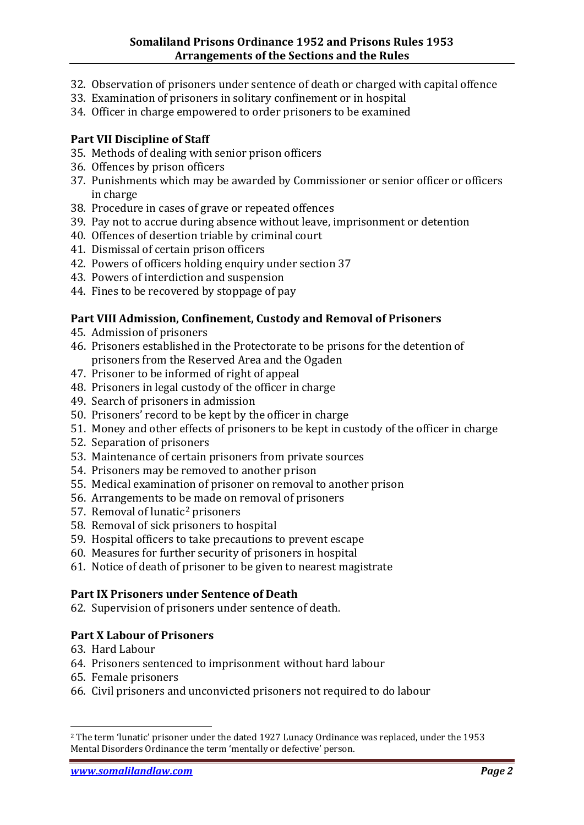- 32. Observation of prisoners under sentence of death or charged with capital offence
- 33. Examination of prisoners in solitary confinement or in hospital
- 34. Officer in charge empowered to order prisoners to be examined

# **Part VII Discipline of Staff**

- 35. Methods of dealing with senior prison officers
- 36. Offences by prison officers
- 37. Punishments which may be awarded by Commissioner or senior officer or officers in charge
- 38. Procedure in cases of grave or repeated offences
- 39. Pay not to accrue during absence without leave, imprisonment or detention
- 40. Offences of desertion triable by criminal court
- 41. Dismissal of certain prison officers
- 42. Powers of officers holding enquiry under section 37
- 43. Powers of interdiction and suspension
- 44. Fines to be recovered by stoppage of pay

# **Part VIII Admission, Confinement, Custody and Removal of Prisoners**

- 45. Admission of prisoners
- 46. Prisoners established in the Protectorate to be prisons for the detention of prisoners from the Reserved Area and the Ogaden
- 47. Prisoner to be informed of right of appeal
- 48. Prisoners in legal custody of the officer in charge
- 49. Search of prisoners in admission
- 50. Prisoners' record to be kept by the officer in charge
- 51. Money and other effects of prisoners to be kept in custody of the officer in charge
- 52. Separation of prisoners
- 53. Maintenance of certain prisoners from private sources
- 54. Prisoners may be removed to another prison
- 55. Medical examination of prisoner on removal to another prison
- 56. Arrangements to [be](#page-1-0) made on removal of prisoners
- 57. Removal of lunatic2 prisoners
- 58. Removal of sick prisoners to hospital
- 59. Hospital officers to take precautions to prevent escape
- 60. Measures for further security of prisoners in hospital
- 61. Notice of death of prisoner to be given to nearest magistrate

# **Part IX Prisoners under Sentence of Death**

62. Supervision of prisoners under sentence of death.

# **Part X Labour of Prisoners**

63. Hard Labour

.

- 64. Prisoners sentenced to imprisonment without hard labour
- 65. Female prisoners
- 66. Civil prisoners and unconvicted prisoners not required to do labour

<span id="page-1-0"></span><sup>2</sup> The term 'lunatic' prisoner under the dated 1927 Lunacy Ordinance was replaced, under the 1953 Mental Disorders Ordinance the term 'mentally or defective' person.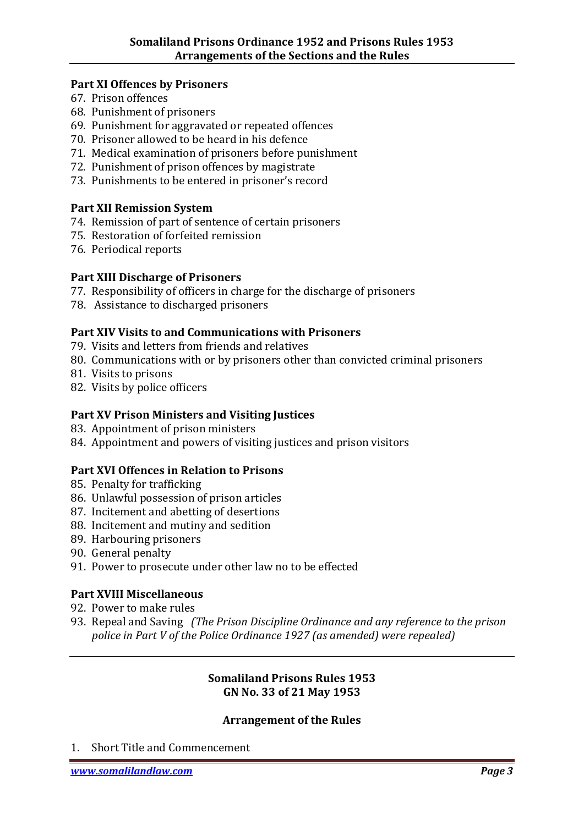#### **Part XI Offences by Prisoners**

- 67. Prison offences
- 68. Punishment of prisoners
- 69. Punishment for aggravated or repeated offences
- 70. Prisoner allowed to be heard in his defence
- 71. Medical examination of prisoners before punishment
- 72. Punishment of prison offences by magistrate
- 73. Punishments to be entered in prisoner's record

#### **Part XII Remission System**

- 74. Remission of part of sentence of certain prisoners
- 75. Restoration of forfeited remission
- 76. Periodical reports

#### **Part XIII Discharge of Prisoners**

- 77. Responsibility of officers in charge for the discharge of prisoners
- 78. Assistance to discharged prisoners

## **Part XIV Visits to and Communications with Prisoners**

- 79. Visits and letters from friends and relatives
- 80. Communications with or by prisoners other than convicted criminal prisoners
- 81. Visits to prisons
- 82. Visits by police officers

## **Part XV Prison Ministers and Visiting Justices**

- 83. Appointment of prison ministers
- 84. Appointment and powers of visiting justices and prison visitors

## **Part XVI Offences in Relation to Prisons**

- 85. Penalty for trafficking
- 86. Unlawful possession of prison articles
- 87. Incitement and abetting of desertions
- 88. Incitement and mutiny and sedition
- 89. Harbouring prisoners
- 90. General penalty
- 91. Power to prosecute under other law no to be effected

## **Part XVIII Miscellaneous**

- 92. Power to make rules
- 93. Repeal and Saving *(The Prison Discipline Ordinance and any reference to the prison police in Part V of the Police Ordinance 1927 (as amended) were repealed)*

## **Somaliland Prisons Rules 1953 GN No. 33 of 21 May 1953**

## **Arrangement of the Rules**

1. Short Title and Commencement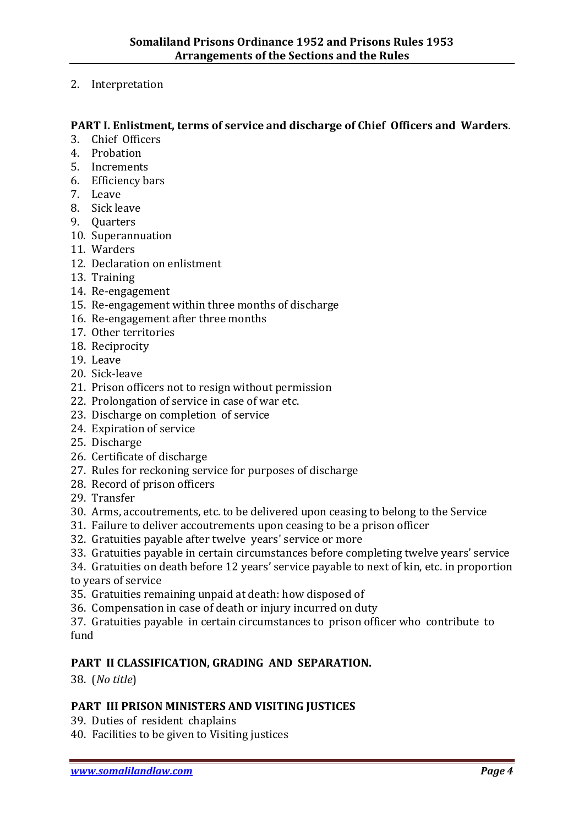2. Interpretation

#### **PART I. Enlistment, terms of service and discharge of Chief Officers and Warders**.

- 3. Chief Officers
- 4. Probation
- 5. Increments
- 6. Efficiency bars
- 7. Leave
- 8. Sick leave
- 9. Quarters
- 10. Superannuation
- 11. Warders
- 12. Declaration on enlistment
- 13. Training
- 14. Re-engagement
- 15. Re-engagement within three months of discharge
- 16. Re-engagement after three months
- 17. Other territories
- 18. Reciprocity
- 19. Leave
- 20. Sick-leave
- 21. Prison officers not to resign without permission
- 22. Prolongation of service in case of war etc.
- 23. Discharge on completion of service
- 24. Expiration of service
- 25. Discharge
- 26. Certificate of discharge
- 27. Rules for reckoning service for purposes of discharge
- 28. Record of prison officers
- 29. Transfer
- 30. Arms, accoutrements, etc. to be delivered upon ceasing to belong to the Service
- 31. Failure to deliver accoutrements upon ceasing to be a prison officer
- 32. Gratuities payable after twelve years' service or more
- 33. Gratuities payable in certain circumstances before completing twelve years' service
- 34. Gratuities on death before 12 years' service payable to next of kin, etc. in proportion to years of service
- 35. Gratuities remaining unpaid at death: how disposed of
- 36. Compensation in case of death or injury incurred on duty
- 37. Gratuities payable in certain circumstances to prison officer who contribute to fund

## **PART II CLASSIFICATION, GRADING AND SEPARATION.**

38. (*No title*)

## **PART III PRISON MINISTERS AND VISITING JUSTICES**

- 39. Duties of resident chaplains
- 40. Facilities to be given to Visiting justices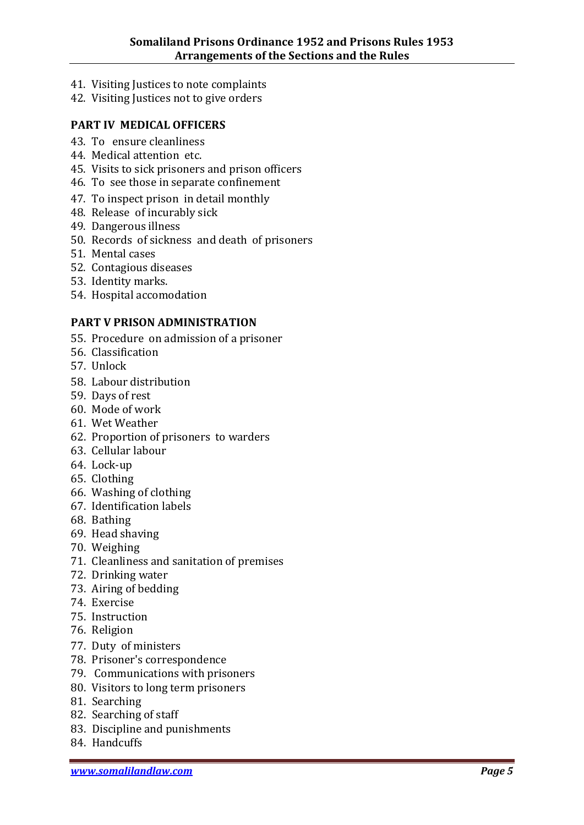- 41. Visiting Justices to note complaints
- 42. Visiting Justices not to give orders

#### **PART IV MEDICAL OFFICERS**

- 43. To ensure cleanliness
- 44. Medical attention etc.
- 45. Visits to sick prisoners and prison officers
- 46. To see those in separate confinement
- 47. To inspect prison in detail monthly
- 48. Release of incurably sick
- 49. Dangerous illness
- 50. Records of sickness and death of prisoners
- 51. Mental cases
- 52. Contagious diseases
- 53. Identity marks.
- 54. Hospital accomodation

#### **PART V PRISON ADMINISTRATION**

- 55. Procedure on admission of a prisoner
- 56. Classification
- 57. Unlock
- 58. Labour distribution
- 59. Days of rest
- 60. Mode of work
- 61. Wet Weather
- 62. Proportion of prisoners to warders
- 63. Cellular labour
- 64. Lock-up
- 65. Clothing
- 66. Washing of clothing
- 67. Identification labels
- 68. Bathing
- 69. Head shaving
- 70. Weighing
- 71. Cleanliness and sanitation of premises
- 72. Drinking water
- 73. Airing of bedding
- 74. Exercise
- 75. Instruction
- 76. Religion
- 77. Duty of ministers
- 78. Prisoner's correspondence
- 79. Communications with prisoners
- 80. Visitors to long term prisoners
- 81. Searching
- 82. Searching of staff
- 83. Discipline and punishments
- 84. Handcuffs